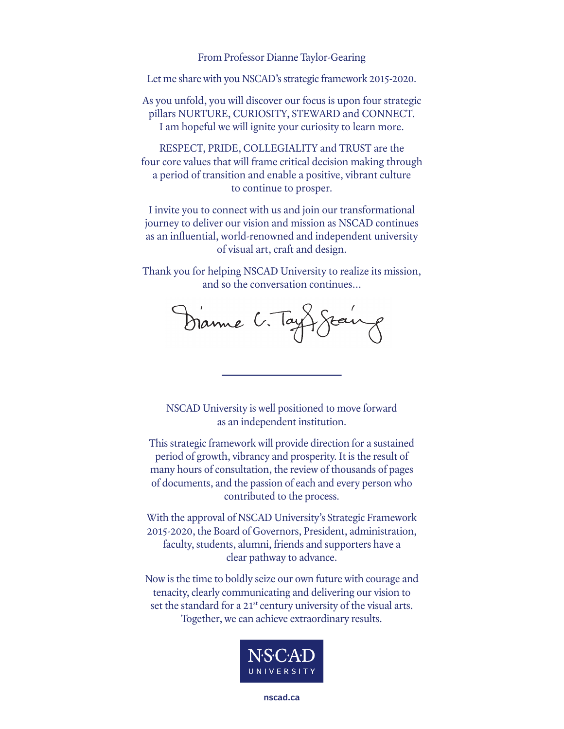From Professor Dianne Taylor-Gearing

Let me share with you NSCAD's strategic framework 2015-2020.

As you unfold, you will discover our focus is upon four strategic pillars NURTURE, CURIOSITY, STEWARD and CONNECT. I am hopeful we will ignite your curiosity to learn more.

RESPECT, PRIDE, COLLEGIALITY and TRUST are the four core values that will frame critical decision making through a period of transition and enable a positive, vibrant culture to continue to prosper.

I invite you to connect with us and join our transformational journey to deliver our vision and mission as NSCAD continues as an influential, world-renowned and independent university of visual art, craft and design.

Thank you for helping NSCAD University to realize its mission, and so the conversation continues…

Dianne C. Taylors

NSCAD University is well positioned to move forward as an independent institution.

This strategic framework will provide direction for a sustained period of growth, vibrancy and prosperity. It is the result of many hours of consultation, the review of thousands of pages of documents, and the passion of each and every person who contributed to the process.

With the approval of NSCAD University's Strategic Framework 2015-2020, the Board of Governors, President, administration, faculty, students, alumni, friends and supporters have a clear pathway to advance.

Now is the time to boldly seize our own future with courage and tenacity, clearly communicating and delivering our vision to set the standard for a 21<sup>st</sup> century university of the visual arts. Together, we can achieve extraordinary results.

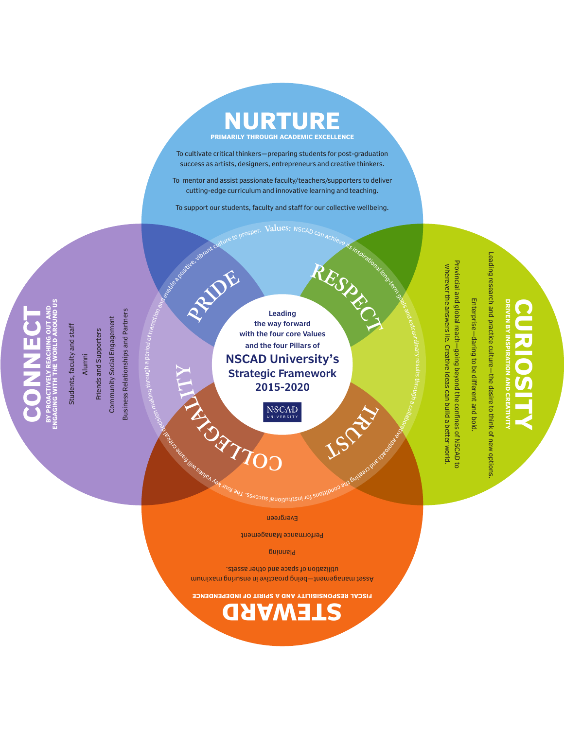

To cultivate critical thinkers—preparing students for post-graduation success as artists, designers, entrepreneurs and creative thinkers.

To mentor and assist passionate faculty/teachers/supporters to deliver cutting-edge curriculum and innovative learning and teaching.

To support our students, faculty and staff for our collective wellbeing.

**Values:** <code>NSCAD</code> r

**ENGAGING WITH THE WORLD AROUND US BY PROACTIVELY REACHING OUT AND CONNECT**  $\frac{1}{2}$ Ó

Students, faculty and staff Students, faculty and staf

Alumni

Friends and Supporters Friends and Supporters

Community Social Engagement Community Social Engagement

Business Relationships and Partners Business Relationships and Partners r un experience de la mentre de la mais de la mais de la mais de la mais de la mais de la mais de la mais de la<br>Les présentations de la mais de la mais de la mais de la mais de la mais de la mais de la mais de la mais de l

the way forward with the four core Values and the four Pillars of NSCAD University's Strategic Framework 2015-2020 **EL G AI LITY PRIDE**

NSCAD

Leading

ssəɔɔns <sub>lɐuoi</sub>ɪnɪiɪsn

**C**

**STEWARD FISCAL RESPONSIBILITY AND A SPIRIT OF INDEPENDENCE**

Asset management—being proactive in ensuring maximum utilization of space and other assets. Planning Performance Management Evergreen

 $\tau$ 

**L O**

r

 $\mathcal{C}_O$  $\varphi$ 

**TR** 

all bungaso que vas de rations

its inspirational long-term

goals

2

 $\rightarrow$ 

# RECTANDING

## **DRIVEN BY INSPIRATION AND CREATIVITY CURIOSITY**

Leading research and practice culture-the desire to think of new options Leading research and practice culture—the desire to think of new options.

 Enterprise—daring to be different and bold. Enterprise-daring to be different and bold

Provincial and global reach-going beyond the confines of NSCAD to Provincial and global reach—going beyond the confines of NSCAD to wherever the answers lie. Creative ideas can build a better world wherever the answers lie. Creative ideas can build a better world.